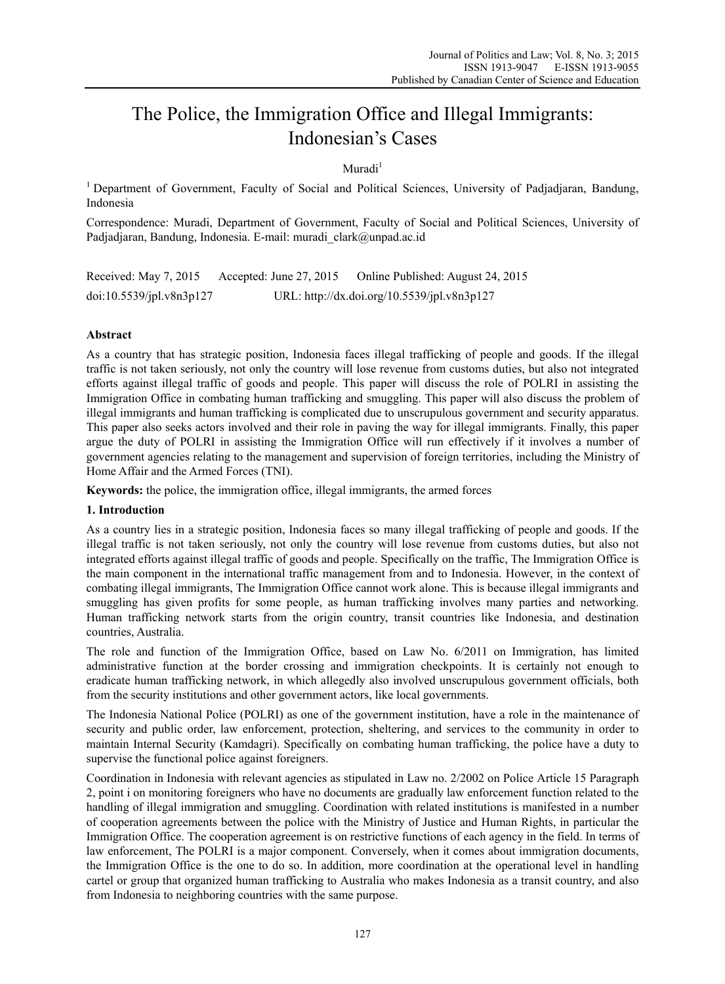# The Police, the Immigration Office and Illegal Immigrants: Indonesian's Cases

 $Muradi<sup>1</sup>$ 

<sup>1</sup> Department of Government, Faculty of Social and Political Sciences, University of Padjadjaran, Bandung, Indonesia

Correspondence: Muradi, Department of Government, Faculty of Social and Political Sciences, University of Padiadiaran, Bandung, Indonesia. E-mail: muradi\_clark@unpad.ac.id

Received: May 7, 2015 Accepted: June 27, 2015 Online Published: August 24, 2015 doi:10.5539/jpl.v8n3p127 URL: http://dx.doi.org/10.5539/jpl.v8n3p127

# **Abstract**

As a country that has strategic position, Indonesia faces illegal trafficking of people and goods. If the illegal traffic is not taken seriously, not only the country will lose revenue from customs duties, but also not integrated efforts against illegal traffic of goods and people. This paper will discuss the role of POLRI in assisting the Immigration Office in combating human trafficking and smuggling. This paper will also discuss the problem of illegal immigrants and human trafficking is complicated due to unscrupulous government and security apparatus. This paper also seeks actors involved and their role in paving the way for illegal immigrants. Finally, this paper argue the duty of POLRI in assisting the Immigration Office will run effectively if it involves a number of government agencies relating to the management and supervision of foreign territories, including the Ministry of Home Affair and the Armed Forces (TNI).

**Keywords:** the police, the immigration office, illegal immigrants, the armed forces

#### **1. Introduction**

As a country lies in a strategic position, Indonesia faces so many illegal trafficking of people and goods. If the illegal traffic is not taken seriously, not only the country will lose revenue from customs duties, but also not integrated efforts against illegal traffic of goods and people. Specifically on the traffic, The Immigration Office is the main component in the international traffic management from and to Indonesia. However, in the context of combating illegal immigrants, The Immigration Office cannot work alone. This is because illegal immigrants and smuggling has given profits for some people, as human trafficking involves many parties and networking. Human trafficking network starts from the origin country, transit countries like Indonesia, and destination countries, Australia.

The role and function of the Immigration Office, based on Law No. 6/2011 on Immigration, has limited administrative function at the border crossing and immigration checkpoints. It is certainly not enough to eradicate human trafficking network, in which allegedly also involved unscrupulous government officials, both from the security institutions and other government actors, like local governments.

The Indonesia National Police (POLRI) as one of the government institution, have a role in the maintenance of security and public order, law enforcement, protection, sheltering, and services to the community in order to maintain Internal Security (Kamdagri). Specifically on combating human trafficking, the police have a duty to supervise the functional police against foreigners.

Coordination in Indonesia with relevant agencies as stipulated in Law no. 2/2002 on Police Article 15 Paragraph 2, point i on monitoring foreigners who have no documents are gradually law enforcement function related to the handling of illegal immigration and smuggling. Coordination with related institutions is manifested in a number of cooperation agreements between the police with the Ministry of Justice and Human Rights, in particular the Immigration Office. The cooperation agreement is on restrictive functions of each agency in the field. In terms of law enforcement, The POLRI is a major component. Conversely, when it comes about immigration documents, the Immigration Office is the one to do so. In addition, more coordination at the operational level in handling cartel or group that organized human trafficking to Australia who makes Indonesia as a transit country, and also from Indonesia to neighboring countries with the same purpose.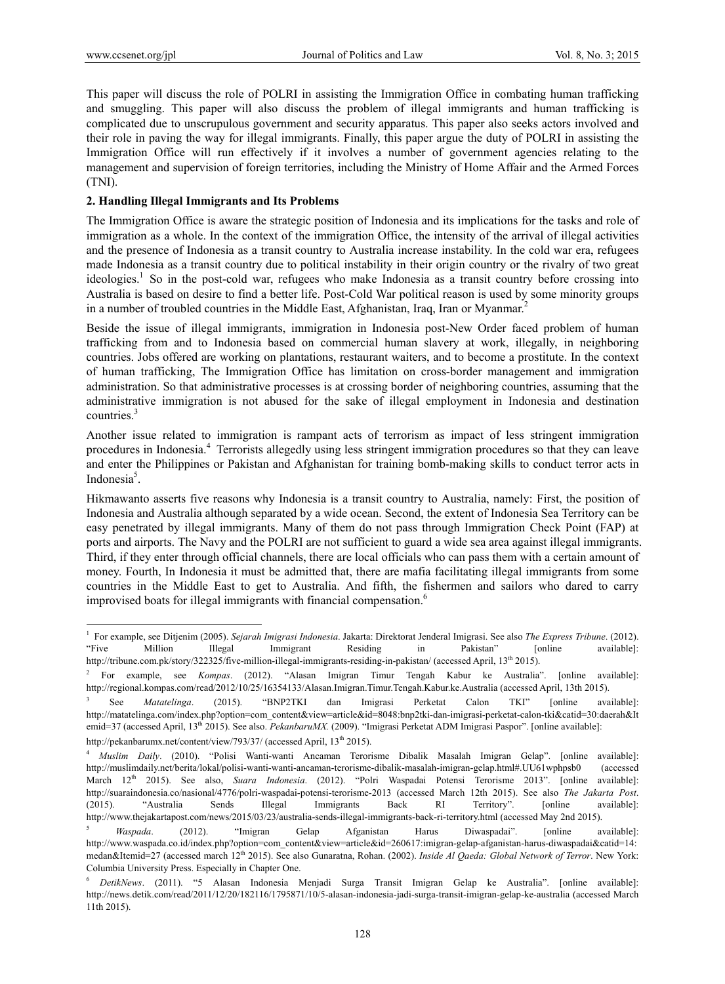$\overline{a}$ 

This paper will discuss the role of POLRI in assisting the Immigration Office in combating human trafficking and smuggling. This paper will also discuss the problem of illegal immigrants and human trafficking is complicated due to unscrupulous government and security apparatus. This paper also seeks actors involved and their role in paving the way for illegal immigrants. Finally, this paper argue the duty of POLRI in assisting the Immigration Office will run effectively if it involves a number of government agencies relating to the management and supervision of foreign territories, including the Ministry of Home Affair and the Armed Forces (TNI).

### **2. Handling Illegal Immigrants and Its Problems**

The Immigration Office is aware the strategic position of Indonesia and its implications for the tasks and role of immigration as a whole. In the context of the immigration Office, the intensity of the arrival of illegal activities and the presence of Indonesia as a transit country to Australia increase instability. In the cold war era, refugees made Indonesia as a transit country due to political instability in their origin country or the rivalry of two great ideologies.<sup>1</sup> So in the post-cold war, refugees who make Indonesia as a transit country before crossing into Australia is based on desire to find a better life. Post-Cold War political reason is used by some minority groups in a number of troubled countries in the Middle East, Afghanistan, Iraq, Iran or Myanmar.<sup>2</sup>

Beside the issue of illegal immigrants, immigration in Indonesia post-New Order faced problem of human trafficking from and to Indonesia based on commercial human slavery at work, illegally, in neighboring countries. Jobs offered are working on plantations, restaurant waiters, and to become a prostitute. In the context of human trafficking, The Immigration Office has limitation on cross-border management and immigration administration. So that administrative processes is at crossing border of neighboring countries, assuming that the administrative immigration is not abused for the sake of illegal employment in Indonesia and destination countries.<sup>3</sup>

Another issue related to immigration is rampant acts of terrorism as impact of less stringent immigration procedures in Indonesia.<sup>4</sup> Terrorists allegedly using less stringent immigration procedures so that they can leave and enter the Philippines or Pakistan and Afghanistan for training bomb-making skills to conduct terror acts in Indonesia<sup>5</sup>.

Hikmawanto asserts five reasons why Indonesia is a transit country to Australia, namely: First, the position of Indonesia and Australia although separated by a wide ocean. Second, the extent of Indonesia Sea Territory can be easy penetrated by illegal immigrants. Many of them do not pass through Immigration Check Point (FAP) at ports and airports. The Navy and the POLRI are not sufficient to guard a wide sea area against illegal immigrants. Third, if they enter through official channels, there are local officials who can pass them with a certain amount of money. Fourth, In Indonesia it must be admitted that, there are mafia facilitating illegal immigrants from some countries in the Middle East to get to Australia. And fifth, the fishermen and sailors who dared to carry improvised boats for illegal immigrants with financial compensation.<sup>6</sup>

<sup>1</sup> For example, see Ditjenim (2005). *Sejarah Imigrasi Indonesia*. Jakarta: Direktorat Jenderal Imigrasi. See also *The Express Tribune*. (2012). "Five Million Illegal Immigrant Residing in Pakistan" [online available]: http://tribune.com.pk/story/322325/five-million-illegal-immigrants-residing-in-pakistan/ (accessed April, 13<sup>th</sup> 2015).

<sup>2</sup> For example, see *Kompas*. (2012). "Alasan Imigran Timur Tengah Kabur ke Australia". [online available]: http://regional.kompas.com/read/2012/10/25/16354133/Alasan.Imigran.Timur.Tengah.Kabur.ke.Australia (accessed April, 13th 2015).

<sup>3</sup> See *Matatelinga*. (2015). "BNP2TKI dan Imigrasi Perketat Calon TKI" [online available]: http://matatelinga.com/index.php?option=com\_content&view=article&id=8048:bnp2tki-dan-imigrasi-perketat-calon-tki&catid=30:daerah&It emid=37 (accessed April, 13<sup>th</sup> 2015). See also. *PekanbaruMX*. (2009). "Imigrasi Perketat ADM Imigrasi Paspor". [online available]:

http://pekanbarumx.net/content/view/793/37/ (accessed April, 13<sup>th</sup> 2015).

<sup>4</sup> *Muslim Daily*. (2010). "Polisi Wanti-wanti Ancaman Terorisme Dibalik Masalah Imigran Gelap". [online available]: http://muslimdaily.net/berita/lokal/polisi-wanti-wanti-ancaman-terorisme-dibalik-masalah-imigran-gelap.html#.UU61wphpsb0 (accessed March 12th 2015). See also, *Suara Indonesia*. (2012). "Polri Waspadai Potensi Terorisme 2013". [online available]: http://suaraindonesia.co/nasional/4776/polri-waspadai-potensi-terorisme-2013 (accessed March 12th 2015). See also *The Jakarta Post*. (2015). "Australia Sends Illegal Immigrants Back RI Territory". [online available]: http://www.thejakartapost.com/news/2015/03/23/australia-sends-illegal-immigrants-back-ri-territory.html (accessed May 2nd 2015).

<sup>5</sup> *Waspada*. (2012). "Imigran Gelap Afganistan Harus Diwaspadai". [online available]: http://www.waspada.co.id/index.php?option=com\_content&view=article&id=260617:imigran-gelap-afganistan-harus-diwaspadai&catid=14: medan&Itemid=27 (accessed march 12<sup>th</sup> 2015). See also Gunaratna, Rohan. (2002). *Inside Al Qaeda: Global Network of Terror*. New York: Columbia University Press. Especially in Chapter One.

<sup>6</sup> *DetikNews*. (2011). "5 Alasan Indonesia Menjadi Surga Transit Imigran Gelap ke Australia". [online available]: http://news.detik.com/read/2011/12/20/182116/1795871/10/5-alasan-indonesia-jadi-surga-transit-imigran-gelap-ke-australia (accessed March 11th 2015).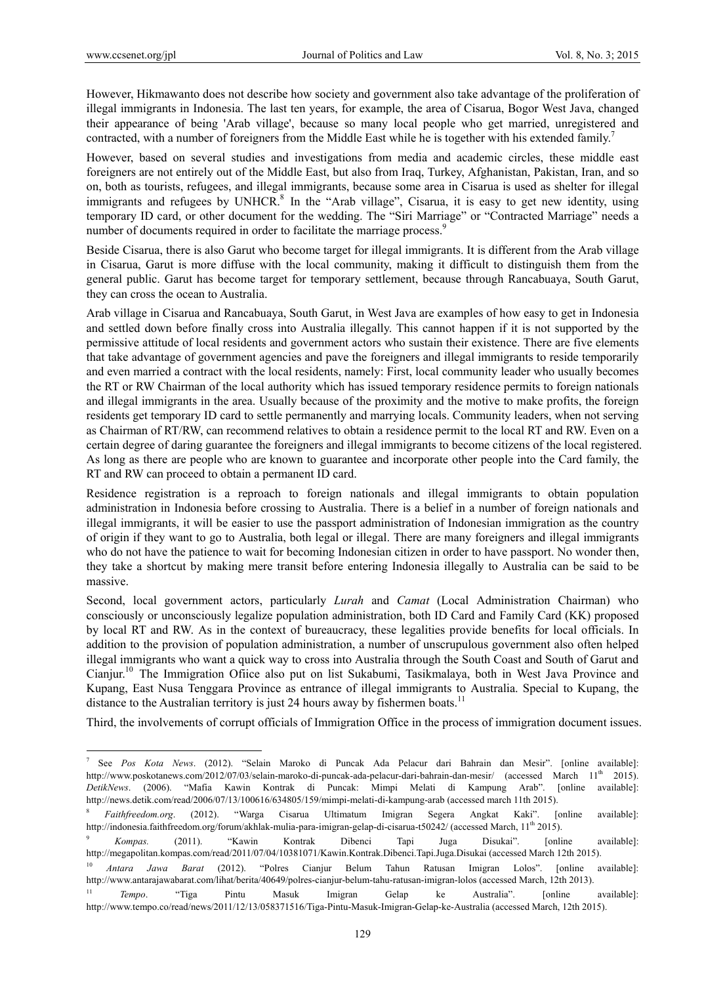$\overline{a}$ 

However, Hikmawanto does not describe how society and government also take advantage of the proliferation of illegal immigrants in Indonesia. The last ten years, for example, the area of Cisarua, Bogor West Java, changed their appearance of being 'Arab village', because so many local people who get married, unregistered and contracted, with a number of foreigners from the Middle East while he is together with his extended family.<sup>7</sup>

However, based on several studies and investigations from media and academic circles, these middle east foreigners are not entirely out of the Middle East, but also from Iraq, Turkey, Afghanistan, Pakistan, Iran, and so on, both as tourists, refugees, and illegal immigrants, because some area in Cisarua is used as shelter for illegal immigrants and refugees by UNHCR.<sup>8</sup> In the "Arab village", Cisarua, it is easy to get new identity, using temporary ID card, or other document for the wedding. The "Siri Marriage" or "Contracted Marriage" needs a number of documents required in order to facilitate the marriage process.<sup>9</sup>

Beside Cisarua, there is also Garut who become target for illegal immigrants. It is different from the Arab village in Cisarua, Garut is more diffuse with the local community, making it difficult to distinguish them from the general public. Garut has become target for temporary settlement, because through Rancabuaya, South Garut, they can cross the ocean to Australia.

Arab village in Cisarua and Rancabuaya, South Garut, in West Java are examples of how easy to get in Indonesia and settled down before finally cross into Australia illegally. This cannot happen if it is not supported by the permissive attitude of local residents and government actors who sustain their existence. There are five elements that take advantage of government agencies and pave the foreigners and illegal immigrants to reside temporarily and even married a contract with the local residents, namely: First, local community leader who usually becomes the RT or RW Chairman of the local authority which has issued temporary residence permits to foreign nationals and illegal immigrants in the area. Usually because of the proximity and the motive to make profits, the foreign residents get temporary ID card to settle permanently and marrying locals. Community leaders, when not serving as Chairman of RT/RW, can recommend relatives to obtain a residence permit to the local RT and RW. Even on a certain degree of daring guarantee the foreigners and illegal immigrants to become citizens of the local registered. As long as there are people who are known to guarantee and incorporate other people into the Card family, the RT and RW can proceed to obtain a permanent ID card.

Residence registration is a reproach to foreign nationals and illegal immigrants to obtain population administration in Indonesia before crossing to Australia. There is a belief in a number of foreign nationals and illegal immigrants, it will be easier to use the passport administration of Indonesian immigration as the country of origin if they want to go to Australia, both legal or illegal. There are many foreigners and illegal immigrants who do not have the patience to wait for becoming Indonesian citizen in order to have passport. No wonder then, they take a shortcut by making mere transit before entering Indonesia illegally to Australia can be said to be massive.

Second, local government actors, particularly *Lurah* and *Camat* (Local Administration Chairman) who consciously or unconsciously legalize population administration, both ID Card and Family Card (KK) proposed by local RT and RW. As in the context of bureaucracy, these legalities provide benefits for local officials. In addition to the provision of population administration, a number of unscrupulous government also often helped illegal immigrants who want a quick way to cross into Australia through the South Coast and South of Garut and Cianjur.10 The Immigration Ofiice also put on list Sukabumi, Tasikmalaya, both in West Java Province and Kupang, East Nusa Tenggara Province as entrance of illegal immigrants to Australia. Special to Kupang, the distance to the Australian territory is just 24 hours away by fishermen boats.<sup>11</sup>

Third, the involvements of corrupt officials of Immigration Office in the process of immigration document issues.

<sup>7</sup> See *Pos Kota News*. (2012). "Selain Maroko di Puncak Ada Pelacur dari Bahrain dan Mesir". [online available]: http://www.poskotanews.com/2012/07/03/selain-maroko-di-puncak-ada-pelacur-dari-bahrain-dan-mesir/ (accessed March 11<sup>th</sup> 2015). *DetikNews*. (2006). "Mafia Kawin Kontrak di Puncak: Mimpi Melati di Kampung Arab". [online available]: http://news.detik.com/read/2006/07/13/100616/634805/159/mimpi-melati-di-kampung-arab (accessed march 11th 2015).

<sup>8</sup> *Faithfreedom.org*. (2012). "Warga Cisarua Ultimatum Imigran Segera Angkat Kaki". [online available]: http://indonesia.faithfreedom.org/forum/akhlak-mulia-para-imigran-gelap-di-cisarua-t50242/ (accessed March, 11<sup>th</sup> 2015).

<sup>9</sup> *Kompas.* (2011). "Kawin Kontrak Dibenci Tapi Juga Disukai". [online available]: http://megapolitan.kompas.com/read/2011/07/04/10381071/Kawin.Kontrak.Dibenci.Tapi.Juga.Disukai (accessed March 12th 2015).

<sup>10</sup> *Antara Jawa Barat* (2012). "Polres Cianjur Belum Tahun Ratusan Imigran Lolos". [online available]: http://www.antarajawabarat.com/lihat/berita/40649/polres-cianjur-belum-tahu-ratusan-imigran-lolos (accessed March, 12th 2013).

<sup>11</sup> *Tempo*. "Tiga Pintu Masuk Imigran Gelap ke Australia". [online available]: http://www.tempo.co/read/news/2011/12/13/058371516/Tiga-Pintu-Masuk-Imigran-Gelap-ke-Australia (accessed March, 12th 2015).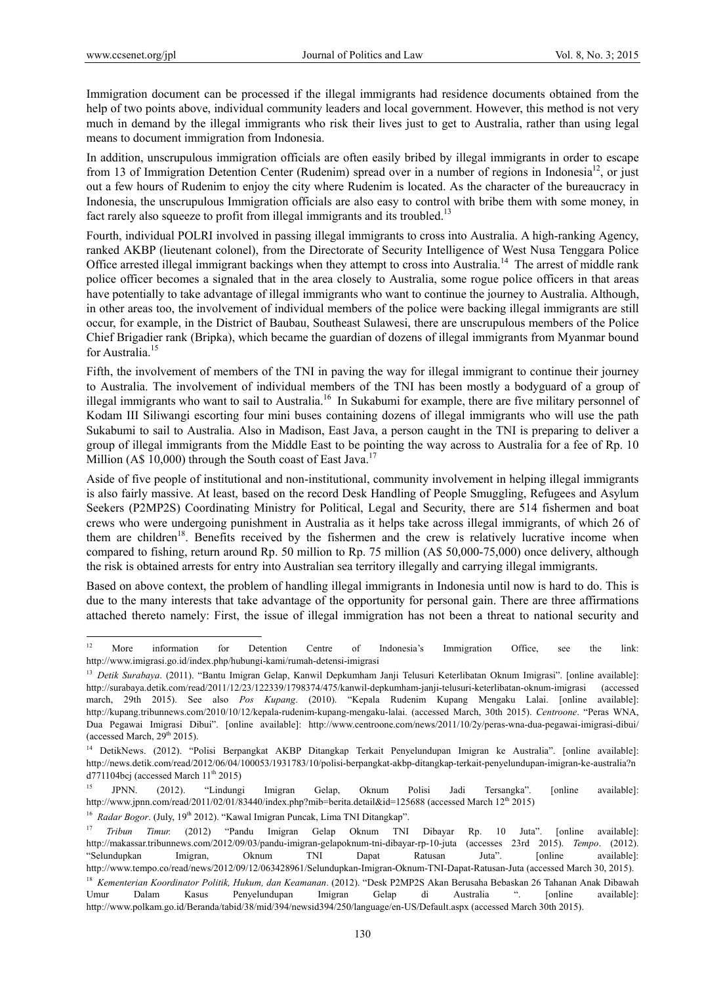$\overline{a}$ 

Immigration document can be processed if the illegal immigrants had residence documents obtained from the help of two points above, individual community leaders and local government. However, this method is not very much in demand by the illegal immigrants who risk their lives just to get to Australia, rather than using legal means to document immigration from Indonesia.

In addition, unscrupulous immigration officials are often easily bribed by illegal immigrants in order to escape from 13 of Immigration Detention Center (Rudenim) spread over in a number of regions in Indonesia<sup>12</sup>, or just out a few hours of Rudenim to enjoy the city where Rudenim is located. As the character of the bureaucracy in Indonesia, the unscrupulous Immigration officials are also easy to control with bribe them with some money, in fact rarely also squeeze to profit from illegal immigrants and its troubled.<sup>13</sup>

Fourth, individual POLRI involved in passing illegal immigrants to cross into Australia. A high-ranking Agency, ranked AKBP (lieutenant colonel), from the Directorate of Security Intelligence of West Nusa Tenggara Police Office arrested illegal immigrant backings when they attempt to cross into Australia.<sup>14</sup> The arrest of middle rank police officer becomes a signaled that in the area closely to Australia, some rogue police officers in that areas have potentially to take advantage of illegal immigrants who want to continue the journey to Australia. Although, in other areas too, the involvement of individual members of the police were backing illegal immigrants are still occur, for example, in the District of Baubau, Southeast Sulawesi, there are unscrupulous members of the Police Chief Brigadier rank (Bripka), which became the guardian of dozens of illegal immigrants from Myanmar bound for Australia.15

Fifth, the involvement of members of the TNI in paving the way for illegal immigrant to continue their journey to Australia. The involvement of individual members of the TNI has been mostly a bodyguard of a group of illegal immigrants who want to sail to Australia.<sup>16</sup> In Sukabumi for example, there are five military personnel of Kodam III Siliwangi escorting four mini buses containing dozens of illegal immigrants who will use the path Sukabumi to sail to Australia. Also in Madison, East Java, a person caught in the TNI is preparing to deliver a group of illegal immigrants from the Middle East to be pointing the way across to Australia for a fee of Rp. 10 Million (A\$ 10,000) through the South coast of East Java.<sup>17</sup>

Aside of five people of institutional and non-institutional, community involvement in helping illegal immigrants is also fairly massive. At least, based on the record Desk Handling of People Smuggling, Refugees and Asylum Seekers (P2MP2S) Coordinating Ministry for Political, Legal and Security, there are 514 fishermen and boat crews who were undergoing punishment in Australia as it helps take across illegal immigrants, of which 26 of them are children<sup>18</sup>. Benefits received by the fishermen and the crew is relatively lucrative income when compared to fishing, return around Rp. 50 million to Rp. 75 million (A\$ 50,000-75,000) once delivery, although the risk is obtained arrests for entry into Australian sea territory illegally and carrying illegal immigrants.

Based on above context, the problem of handling illegal immigrants in Indonesia until now is hard to do. This is due to the many interests that take advantage of the opportunity for personal gain. There are three affirmations attached thereto namely: First, the issue of illegal immigration has not been a threat to national security and

<sup>&</sup>lt;sup>12</sup> More information for Detention Centre of Indonesia's Immigration Office, see the link: http://www.imigrasi.go.id/index.php/hubungi-kami/rumah-detensi-imigrasi

<sup>&</sup>lt;sup>13</sup> Detik Surabaya. (2011). "Bantu Imigran Gelap, Kanwil Depkumham Janji Telusuri Keterlibatan Oknum Imigrasi". [online available]: http://surabaya.detik.com/read/2011/12/23/122339/1798374/475/kanwil-depkumham-janji-telusuri-keterlibatan-oknum-imigrasi (accessed march, 29th 2015). See also *Pos Kupang*. (2010). "Kepala Rudenim Kupang Mengaku Lalai. [online available]: http://kupang.tribunnews.com/2010/10/12/kepala-rudenim-kupang-mengaku-lalai. (accessed March, 30th 2015). *Centroone*. "Peras WNA, Dua Pegawai Imigrasi Dibui". [online available]: http://www.centroone.com/news/2011/10/2y/peras-wna-dua-pegawai-imigrasi-dibui/ (accessed March,  $29<sup>th</sup> 2015$ ).

<sup>14</sup> DetikNews. (2012). "Polisi Berpangkat AKBP Ditangkap Terkait Penyelundupan Imigran ke Australia". [online available]: http://news.detik.com/read/2012/06/04/100053/1931783/10/polisi-berpangkat-akbp-ditangkap-terkait-penyelundupan-imigran-ke-australia?n d771104bcj (accessed March  $11<sup>th</sup> 2015$ )

<sup>&</sup>lt;sup>15</sup> JPNN. (2012). "Lindungi Imigran Gelap, Oknum Polisi Jadi Tersangka". [online available]: http://www.jpnn.com/read/2011/02/01/83440/index.php?mib=berita.detail&id=125688 (accessed March 12<sup>th</sup> 2015)

<sup>&</sup>lt;sup>16</sup> Radar Bogor. (July, 19<sup>th</sup> 2012). "Kawal Imigran Puncak, Lima TNI Ditangkap".

<sup>17</sup> *Tribun Timur.* (2012) "Pandu Imigran Gelap Oknum TNI Dibayar Rp. 10 Juta". [online available]: http://makassar.tribunnews.com/2012/09/03/pandu-imigran-gelapoknum-tni-dibayar-rp-10-juta (accesses 23rd 2015). *Tempo*. (2012). "Selundupkan Imigran, Oknum TNI Dapat Ratusan Juta". [online available]: http://www.tempo.co/read/news/2012/09/12/063428961/Selundupkan-Imigran-Oknum-TNI-Dapat-Ratusan-Juta (accessed March 30, 2015).

<sup>18</sup> *Kementerian Koordinator Politik, Hukum, dan Keamanan*. (2012). "Desk P2MP2S Akan Berusaha Bebaskan 26 Tahanan Anak Dibawah Umur Dalam Kasus Penyelundupan Imigran Gelap di Australia ". [online available]: http://www.polkam.go.id/Beranda/tabid/38/mid/394/newsid394/250/language/en-US/Default.aspx (accessed March 30th 2015).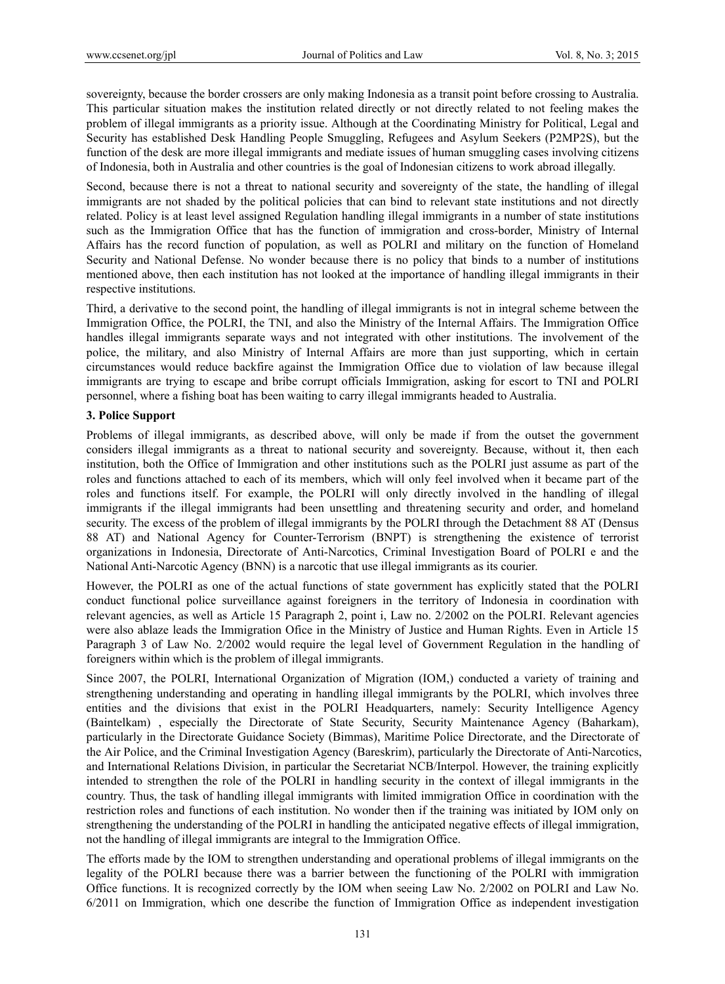sovereignty, because the border crossers are only making Indonesia as a transit point before crossing to Australia. This particular situation makes the institution related directly or not directly related to not feeling makes the problem of illegal immigrants as a priority issue. Although at the Coordinating Ministry for Political, Legal and Security has established Desk Handling People Smuggling, Refugees and Asylum Seekers (P2MP2S), but the function of the desk are more illegal immigrants and mediate issues of human smuggling cases involving citizens of Indonesia, both in Australia and other countries is the goal of Indonesian citizens to work abroad illegally.

Second, because there is not a threat to national security and sovereignty of the state, the handling of illegal immigrants are not shaded by the political policies that can bind to relevant state institutions and not directly related. Policy is at least level assigned Regulation handling illegal immigrants in a number of state institutions such as the Immigration Office that has the function of immigration and cross-border, Ministry of Internal Affairs has the record function of population, as well as POLRI and military on the function of Homeland Security and National Defense. No wonder because there is no policy that binds to a number of institutions mentioned above, then each institution has not looked at the importance of handling illegal immigrants in their respective institutions.

Third, a derivative to the second point, the handling of illegal immigrants is not in integral scheme between the Immigration Office, the POLRI, the TNI, and also the Ministry of the Internal Affairs. The Immigration Office handles illegal immigrants separate ways and not integrated with other institutions. The involvement of the police, the military, and also Ministry of Internal Affairs are more than just supporting, which in certain circumstances would reduce backfire against the Immigration Office due to violation of law because illegal immigrants are trying to escape and bribe corrupt officials Immigration, asking for escort to TNI and POLRI personnel, where a fishing boat has been waiting to carry illegal immigrants headed to Australia.

## **3. Police Support**

Problems of illegal immigrants, as described above, will only be made if from the outset the government considers illegal immigrants as a threat to national security and sovereignty. Because, without it, then each institution, both the Office of Immigration and other institutions such as the POLRI just assume as part of the roles and functions attached to each of its members, which will only feel involved when it became part of the roles and functions itself. For example, the POLRI will only directly involved in the handling of illegal immigrants if the illegal immigrants had been unsettling and threatening security and order, and homeland security. The excess of the problem of illegal immigrants by the POLRI through the Detachment 88 AT (Densus 88 AT) and National Agency for Counter-Terrorism (BNPT) is strengthening the existence of terrorist organizations in Indonesia, Directorate of Anti-Narcotics, Criminal Investigation Board of POLRI e and the National Anti-Narcotic Agency (BNN) is a narcotic that use illegal immigrants as its courier.

However, the POLRI as one of the actual functions of state government has explicitly stated that the POLRI conduct functional police surveillance against foreigners in the territory of Indonesia in coordination with relevant agencies, as well as Article 15 Paragraph 2, point i, Law no. 2/2002 on the POLRI. Relevant agencies were also ablaze leads the Immigration Ofice in the Ministry of Justice and Human Rights. Even in Article 15 Paragraph 3 of Law No. 2/2002 would require the legal level of Government Regulation in the handling of foreigners within which is the problem of illegal immigrants.

Since 2007, the POLRI, International Organization of Migration (IOM,) conducted a variety of training and strengthening understanding and operating in handling illegal immigrants by the POLRI, which involves three entities and the divisions that exist in the POLRI Headquarters, namely: Security Intelligence Agency (Baintelkam) , especially the Directorate of State Security, Security Maintenance Agency (Baharkam), particularly in the Directorate Guidance Society (Bimmas), Maritime Police Directorate, and the Directorate of the Air Police, and the Criminal Investigation Agency (Bareskrim), particularly the Directorate of Anti-Narcotics, and International Relations Division, in particular the Secretariat NCB/Interpol. However, the training explicitly intended to strengthen the role of the POLRI in handling security in the context of illegal immigrants in the country. Thus, the task of handling illegal immigrants with limited immigration Office in coordination with the restriction roles and functions of each institution. No wonder then if the training was initiated by IOM only on strengthening the understanding of the POLRI in handling the anticipated negative effects of illegal immigration, not the handling of illegal immigrants are integral to the Immigration Office.

The efforts made by the IOM to strengthen understanding and operational problems of illegal immigrants on the legality of the POLRI because there was a barrier between the functioning of the POLRI with immigration Office functions. It is recognized correctly by the IOM when seeing Law No. 2/2002 on POLRI and Law No. 6/2011 on Immigration, which one describe the function of Immigration Office as independent investigation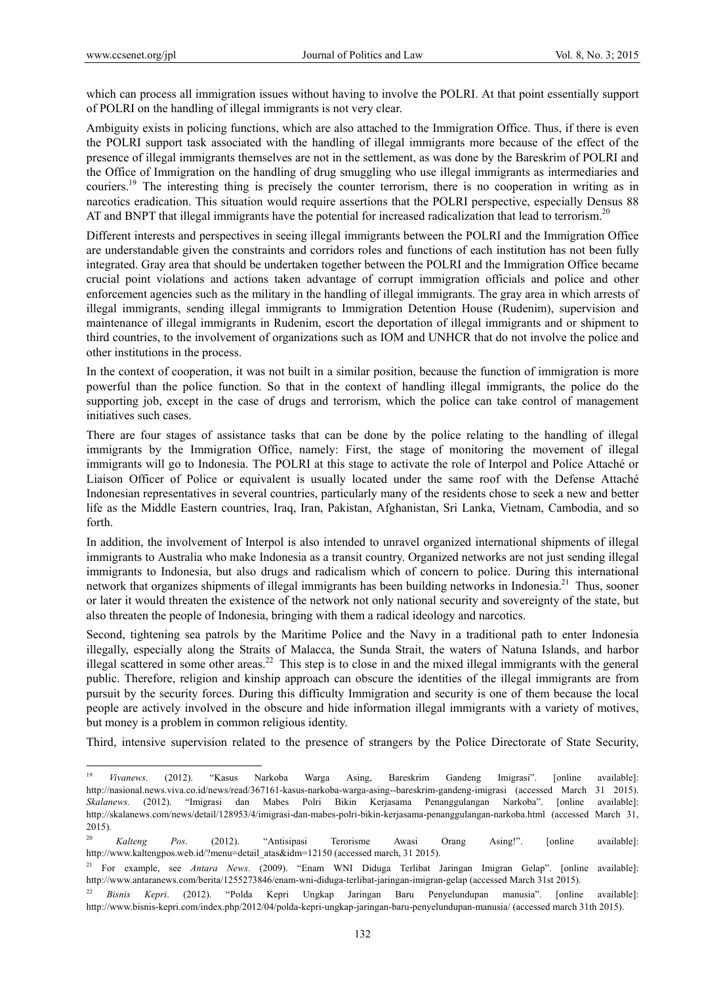which can process all immigration issues without having to involve the POLRI. At that point essentially support of POLRI on the handling of illegal immigrants is not very clear.

Ambiguity exists in policing functions, which are also attached to the Immigration Office. Thus, if there is even the POLRI support task associated with the handling of illegal immigrants more because of the effect of the presence of illegal immigrants themselves are not in the settlement, as was done by the Bareskrim of POLRI and the Office of Immigration on the handling of drug smuggling who use illegal immigrants as intermediaries and couriers.19 The interesting thing is precisely the counter terrorism, there is no cooperation in writing as in narcotics eradication. This situation would require assertions that the POLRI perspective, especially Densus 88 AT and BNPT that illegal immigrants have the potential for increased radicalization that lead to terrorism.<sup>20</sup>

Different interests and perspectives in seeing illegal immigrants between the POLRI and the Immigration Office are understandable given the constraints and corridors roles and functions of each institution has not been fully integrated. Gray area that should be undertaken together between the POLRI and the Immigration Office became crucial point violations and actions taken advantage of corrupt immigration officials and police and other enforcement agencies such as the military in the handling of illegal immigrants. The gray area in which arrests of illegal immigrants, sending illegal immigrants to Immigration Detention House (Rudenim), supervision and maintenance of illegal immigrants in Rudenim, escort the deportation of illegal immigrants and or shipment to third countries, to the involvement of organizations such as IOM and UNHCR that do not involve the police and other institutions in the process.

In the context of cooperation, it was not built in a similar position, because the function of immigration is more powerful than the police function. So that in the context of handling illegal immigrants, the police do the supporting job, except in the case of drugs and terrorism, which the police can take control of management initiatives such cases.

There are four stages of assistance tasks that can be done by the police relating to the handling of illegal immigrants by the Immigration Office, namely: First, the stage of monitoring the movement of illegal immigrants will go to Indonesia. The POLRI at this stage to activate the role of Interpol and Police Attaché or Liaison Officer of Police or equivalent is usually located under the same roof with the Defense Attaché Indonesian representatives in several countries, particularly many of the residents chose to seek a new and better life as the Middle Eastern countries, Iraq, Iran, Pakistan, Afghanistan, Sri Lanka, Vietnam, Cambodia, and so forth.

In addition, the involvement of Interpol is also intended to unravel organized international shipments of illegal immigrants to Australia who make Indonesia as a transit country. Organized networks are not just sending illegal immigrants to Indonesia, but also drugs and radicalism which of concern to police. During this international network that organizes shipments of illegal immigrants has been building networks in Indonesia.<sup>21</sup> Thus, sooner or later it would threaten the existence of the network not only national security and sovereignty of the state, but also threaten the people of Indonesia, bringing with them a radical ideology and narcotics.

Second, tightening sea patrols by the Maritime Police and the Navy in a traditional path to enter Indonesia illegally, especially along the Straits of Malacca, the Sunda Strait, the waters of Natuna Islands, and harbor illegal scattered in some other areas.<sup>22</sup> This step is to close in and the mixed illegal immigrants with the general public. Therefore, religion and kinship approach can obscure the identities of the illegal immigrants are from pursuit by the security forces. During this difficulty Immigration and security is one of them because the local people are actively involved in the obscure and hide information illegal immigrants with a variety of motives, but money is a problem in common religious identity.

Third, intensive supervision related to the presence of strangers by the Police Directorate of State Security,

 $19$ <sup>19</sup> *Vivanews*. (2012). "Kasus Narkoba Warga Asing, Bareskrim Gandeng Imigrasi". [online available]: http://nasional.news.viva.co.id/news/read/367161-kasus-narkoba-warga-asing--bareskrim-gandeng-imigrasi (accessed March 31 2015). *Skalanews.* (2012). "Imigrasi dan Mabes Polri Bikin Kerjasama Penanggulangan Narkoba". [online available]: http://skalanews.com/news/detail/128953/4/imigrasi-dan-mabes-polri-bikin-kerjasama-penanggulangan-narkoba.html (accessed March 31, 2015).

<sup>20</sup> *Kalteng Pos*. (2012). "Antisipasi Terorisme Awasi Orang Asing!". [online available]: http://www.kaltengpos.web.id/?menu=detail\_atas&idm=12150 (accessed march, 31 2015).

<sup>21</sup> For example, see *Antara News*. (2009). "Enam WNI Diduga Terlibat Jaringan Imigran Gelap". [online available]: http://www.antaranews.com/berita/1255273846/enam-wni-diduga-terlibat-jaringan-imigran-gelap (accessed March 31st 2015).

<sup>22</sup> *Bisnis Kepri*. (2012). "Polda Kepri Ungkap Jaringan Baru Penyelundupan manusia". [online available]: http://www.bisnis-kepri.com/index.php/2012/04/polda-kepri-ungkap-jaringan-baru-penyelundupan-manusia/ (accessed march 31th 2015).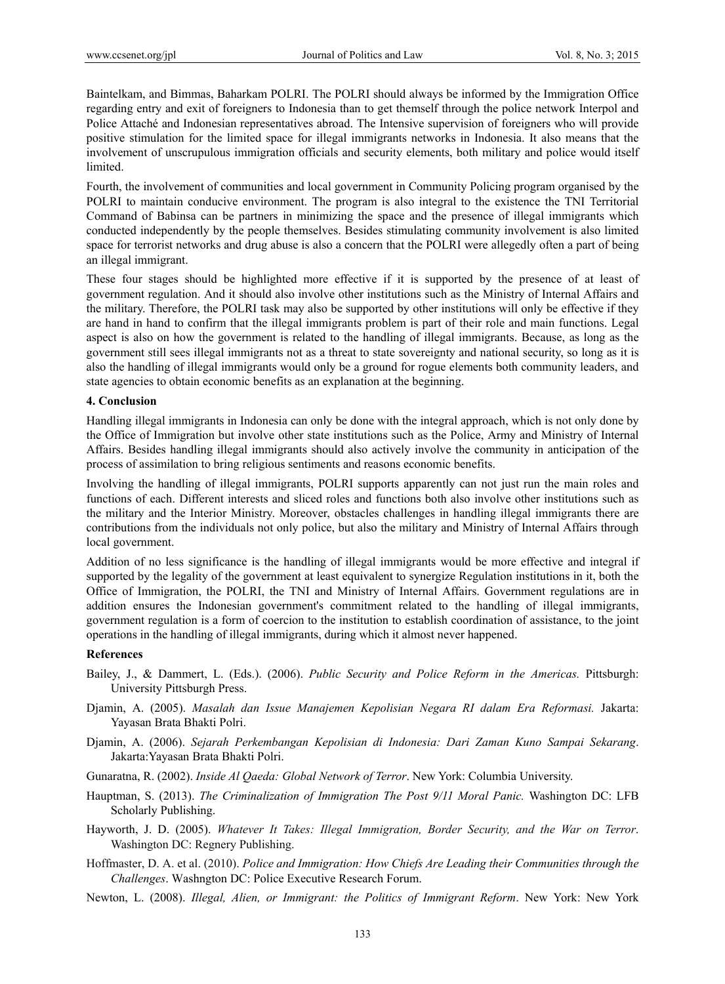Baintelkam, and Bimmas, Baharkam POLRI. The POLRI should always be informed by the Immigration Office regarding entry and exit of foreigners to Indonesia than to get themself through the police network Interpol and Police Attaché and Indonesian representatives abroad. The Intensive supervision of foreigners who will provide positive stimulation for the limited space for illegal immigrants networks in Indonesia. It also means that the involvement of unscrupulous immigration officials and security elements, both military and police would itself limited.

Fourth, the involvement of communities and local government in Community Policing program organised by the POLRI to maintain conducive environment. The program is also integral to the existence the TNI Territorial Command of Babinsa can be partners in minimizing the space and the presence of illegal immigrants which conducted independently by the people themselves. Besides stimulating community involvement is also limited space for terrorist networks and drug abuse is also a concern that the POLRI were allegedly often a part of being an illegal immigrant.

These four stages should be highlighted more effective if it is supported by the presence of at least of government regulation. And it should also involve other institutions such as the Ministry of Internal Affairs and the military. Therefore, the POLRI task may also be supported by other institutions will only be effective if they are hand in hand to confirm that the illegal immigrants problem is part of their role and main functions. Legal aspect is also on how the government is related to the handling of illegal immigrants. Because, as long as the government still sees illegal immigrants not as a threat to state sovereignty and national security, so long as it is also the handling of illegal immigrants would only be a ground for rogue elements both community leaders, and state agencies to obtain economic benefits as an explanation at the beginning.

#### **4. Conclusion**

Handling illegal immigrants in Indonesia can only be done with the integral approach, which is not only done by the Office of Immigration but involve other state institutions such as the Police, Army and Ministry of Internal Affairs. Besides handling illegal immigrants should also actively involve the community in anticipation of the process of assimilation to bring religious sentiments and reasons economic benefits.

Involving the handling of illegal immigrants, POLRI supports apparently can not just run the main roles and functions of each. Different interests and sliced roles and functions both also involve other institutions such as the military and the Interior Ministry. Moreover, obstacles challenges in handling illegal immigrants there are contributions from the individuals not only police, but also the military and Ministry of Internal Affairs through local government.

Addition of no less significance is the handling of illegal immigrants would be more effective and integral if supported by the legality of the government at least equivalent to synergize Regulation institutions in it, both the Office of Immigration, the POLRI, the TNI and Ministry of Internal Affairs. Government regulations are in addition ensures the Indonesian government's commitment related to the handling of illegal immigrants, government regulation is a form of coercion to the institution to establish coordination of assistance, to the joint operations in the handling of illegal immigrants, during which it almost never happened.

#### **References**

- Bailey, J., & Dammert, L. (Eds.). (2006). *Public Security and Police Reform in the Americas.* Pittsburgh: University Pittsburgh Press.
- Djamin, A. (2005). *Masalah dan Issue Manajemen Kepolisian Negara RI dalam Era Reformasi.* Jakarta: Yayasan Brata Bhakti Polri.
- Djamin, A. (2006). *Sejarah Perkembangan Kepolisian di Indonesia: Dari Zaman Kuno Sampai Sekarang*. Jakarta:Yayasan Brata Bhakti Polri.
- Gunaratna, R. (2002). *Inside Al Qaeda: Global Network of Terror*. New York: Columbia University.
- Hauptman, S. (2013). *The Criminalization of Immigration The Post 9/11 Moral Panic.* Washington DC: LFB Scholarly Publishing.
- Hayworth, J. D. (2005). *Whatever It Takes: Illegal Immigration, Border Security, and the War on Terror*. Washington DC: Regnery Publishing.
- Hoffmaster, D. A. et al. (2010). *Police and Immigration: How Chiefs Are Leading their Communities through the Challenges*. Washngton DC: Police Executive Research Forum.
- Newton, L. (2008). *Illegal, Alien, or Immigrant: the Politics of Immigrant Reform*. New York: New York